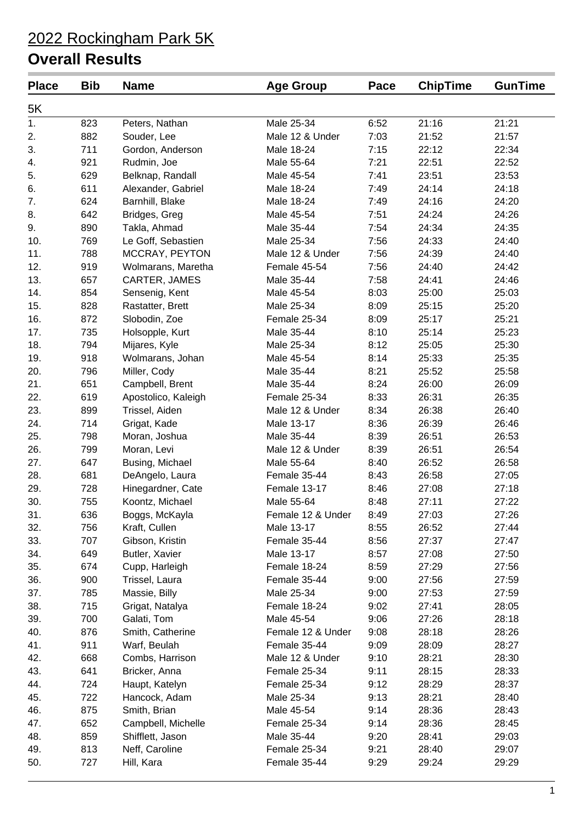| <b>Place</b>     | <b>Bib</b> | <b>Name</b>         | <b>Age Group</b>  | Pace | <b>ChipTime</b> | <b>GunTime</b> |
|------------------|------------|---------------------|-------------------|------|-----------------|----------------|
| 5K               |            |                     |                   |      |                 |                |
| $\overline{1}$ . | 823        | Peters, Nathan      | Male 25-34        | 6:52 | 21:16           | 21:21          |
| 2.               | 882        | Souder, Lee         | Male 12 & Under   | 7:03 | 21:52           | 21:57          |
| 3.               | 711        | Gordon, Anderson    | Male 18-24        | 7:15 | 22:12           | 22:34          |
| 4.               | 921        | Rudmin, Joe         | Male 55-64        | 7:21 | 22:51           | 22:52          |
| 5.               | 629        | Belknap, Randall    | Male 45-54        | 7:41 | 23:51           | 23:53          |
| 6.               | 611        | Alexander, Gabriel  | Male 18-24        | 7:49 | 24:14           | 24:18          |
| 7.               | 624        | Barnhill, Blake     | Male 18-24        | 7:49 | 24:16           | 24:20          |
| 8.               | 642        | Bridges, Greg       | Male 45-54        | 7:51 | 24:24           | 24:26          |
| 9.               | 890        | Takla, Ahmad        | Male 35-44        | 7:54 | 24:34           | 24:35          |
| 10.              | 769        | Le Goff, Sebastien  | Male 25-34        | 7:56 | 24:33           | 24:40          |
| 11.              | 788        | MCCRAY, PEYTON      | Male 12 & Under   | 7:56 | 24:39           | 24:40          |
| 12.              | 919        | Wolmarans, Maretha  | Female 45-54      | 7:56 | 24:40           | 24:42          |
| 13.              | 657        | CARTER, JAMES       | Male 35-44        | 7:58 | 24:41           | 24:46          |
| 14.              | 854        | Sensenig, Kent      | Male 45-54        | 8:03 | 25:00           | 25:03          |
| 15.              | 828        | Rastatter, Brett    | Male 25-34        | 8:09 | 25:15           | 25:20          |
| 16.              | 872        | Slobodin, Zoe       | Female 25-34      | 8:09 | 25:17           | 25:21          |
| 17.              | 735        | Holsopple, Kurt     | Male 35-44        | 8:10 | 25:14           | 25:23          |
| 18.              | 794        | Mijares, Kyle       | Male 25-34        | 8:12 | 25:05           | 25:30          |
| 19.              | 918        | Wolmarans, Johan    | Male 45-54        | 8:14 | 25:33           | 25:35          |
| 20.              | 796        | Miller, Cody        | Male 35-44        | 8:21 | 25:52           | 25:58          |
| 21.              | 651        | Campbell, Brent     | Male 35-44        | 8:24 | 26:00           | 26:09          |
| 22.              | 619        | Apostolico, Kaleigh | Female 25-34      | 8:33 | 26:31           | 26:35          |
| 23.              | 899        | Trissel, Aiden      | Male 12 & Under   | 8:34 | 26:38           | 26:40          |
| 24.              | 714        | Grigat, Kade        | Male 13-17        | 8:36 | 26:39           | 26:46          |
| 25.              | 798        | Moran, Joshua       | Male 35-44        | 8:39 | 26:51           | 26:53          |
| 26.              | 799        | Moran, Levi         | Male 12 & Under   | 8:39 | 26:51           | 26:54          |
| 27.              | 647        | Busing, Michael     | Male 55-64        | 8:40 | 26:52           | 26:58          |
| 28.              | 681        | DeAngelo, Laura     | Female 35-44      | 8:43 | 26:58           | 27:05          |
| 29.              | 728        | Hinegardner, Cate   | Female 13-17      | 8:46 | 27:08           | 27:18          |
| 30.              | 755        | Koontz, Michael     | Male 55-64        | 8:48 | 27:11           | 27:22          |
| 31.              | 636        | Boggs, McKayla      | Female 12 & Under | 8:49 | 27:03           | 27:26          |
| 32.              | 756        | Kraft, Cullen       | Male 13-17        | 8:55 | 26:52           | 27:44          |
| 33.              | 707        | Gibson, Kristin     | Female 35-44      | 8:56 | 27:37           | 27:47          |
| 34.              | 649        | Butler, Xavier      | Male 13-17        | 8:57 | 27:08           | 27:50          |
|                  | 674        |                     | Female 18-24      | 8:59 | 27:29           | 27:56          |
| 35.              | 900        | Cupp, Harleigh      | Female 35-44      | 9:00 | 27:56           | 27:59          |
| 36.<br>37.       | 785        | Trissel, Laura      |                   |      |                 |                |
|                  |            | Massie, Billy       | Male 25-34        | 9:00 | 27:53           | 27:59          |
| 38.              | 715        | Grigat, Natalya     | Female 18-24      | 9:02 | 27:41           | 28:05          |
| 39.              | 700        | Galati, Tom         | Male 45-54        | 9:06 | 27:26           | 28:18          |
| 40.              | 876        | Smith, Catherine    | Female 12 & Under | 9:08 | 28:18           | 28:26          |
| 41.              | 911        | Warf, Beulah        | Female 35-44      | 9:09 | 28:09           | 28:27          |
| 42.              | 668        | Combs, Harrison     | Male 12 & Under   | 9:10 | 28:21           | 28:30          |
| 43.              | 641        | Bricker, Anna       | Female 25-34      | 9:11 | 28:15           | 28:33          |
| 44.              | 724        | Haupt, Katelyn      | Female 25-34      | 9:12 | 28:29           | 28:37          |
| 45.              | 722        | Hancock, Adam       | Male 25-34        | 9:13 | 28:21           | 28:40          |
| 46.              | 875        | Smith, Brian        | Male 45-54        | 9:14 | 28:36           | 28:43          |
| 47.              | 652        | Campbell, Michelle  | Female 25-34      | 9:14 | 28:36           | 28:45          |
| 48.              | 859        | Shifflett, Jason    | Male 35-44        | 9:20 | 28:41           | 29:03          |
| 49.              | 813        | Neff, Caroline      | Female 25-34      | 9:21 | 28:40           | 29:07          |
| 50.              | 727        | Hill, Kara          | Female 35-44      | 9:29 | 29:24           | 29:29          |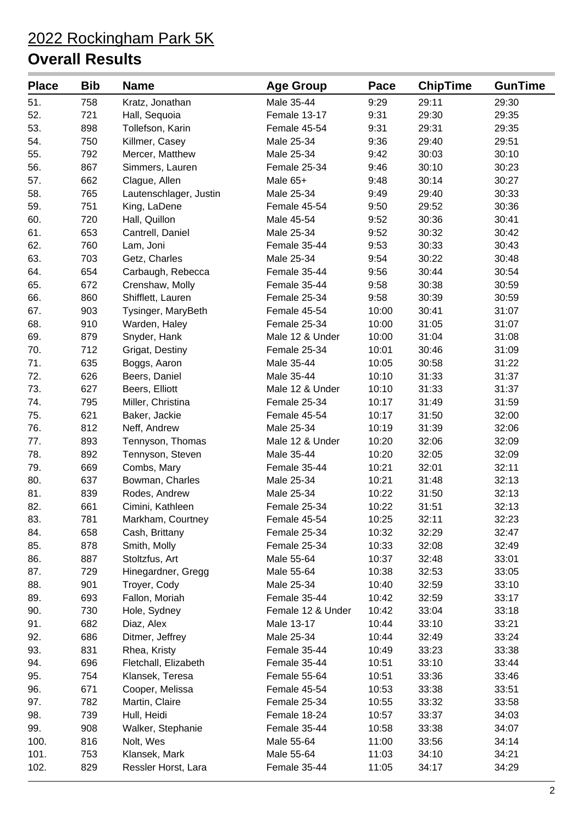| <b>Place</b> | <b>Bib</b> | <b>Name</b>            | <b>Age Group</b>  | Pace  | <b>ChipTime</b> | <b>GunTime</b> |
|--------------|------------|------------------------|-------------------|-------|-----------------|----------------|
| 51.          | 758        | Kratz, Jonathan        | Male 35-44        | 9:29  | 29:11           | 29:30          |
| 52.          | 721        | Hall, Sequoia          | Female 13-17      | 9:31  | 29:30           | 29:35          |
| 53.          | 898        | Tollefson, Karin       | Female 45-54      | 9:31  | 29:31           | 29:35          |
| 54.          | 750        | Killmer, Casey         | Male 25-34        | 9:36  | 29:40           | 29:51          |
| 55.          | 792        | Mercer, Matthew        | Male 25-34        | 9:42  | 30:03           | 30:10          |
| 56.          | 867        | Simmers, Lauren        | Female 25-34      | 9:46  | 30:10           | 30:23          |
| 57.          | 662        | Clague, Allen          | Male 65+          | 9:48  | 30:14           | 30:27          |
| 58.          | 765        | Lautenschlager, Justin | Male 25-34        | 9:49  | 29:40           | 30:33          |
| 59.          | 751        | King, LaDene           | Female 45-54      | 9:50  | 29:52           | 30:36          |
| 60.          | 720        | Hall, Quillon          | Male 45-54        | 9:52  | 30:36           | 30:41          |
| 61.          | 653        | Cantrell, Daniel       | Male 25-34        | 9:52  | 30:32           | 30:42          |
| 62.          | 760        | Lam, Joni              | Female 35-44      | 9:53  | 30:33           | 30:43          |
| 63.          | 703        | Getz, Charles          | Male 25-34        | 9:54  | 30:22           | 30:48          |
| 64.          | 654        | Carbaugh, Rebecca      | Female 35-44      | 9:56  | 30:44           | 30:54          |
| 65.          | 672        | Crenshaw, Molly        | Female 35-44      | 9:58  | 30:38           | 30:59          |
| 66.          | 860        | Shifflett, Lauren      | Female 25-34      | 9:58  | 30:39           | 30:59          |
| 67.          | 903        | Tysinger, MaryBeth     | Female 45-54      | 10:00 | 30:41           | 31:07          |
| 68.          | 910        | Warden, Haley          | Female 25-34      | 10:00 | 31:05           | 31:07          |
| 69.          | 879        | Snyder, Hank           | Male 12 & Under   | 10:00 | 31:04           | 31:08          |
| 70.          | 712        | Grigat, Destiny        | Female 25-34      | 10:01 | 30:46           | 31:09          |
| 71.          | 635        | Boggs, Aaron           | Male 35-44        | 10:05 | 30:58           | 31:22          |
| 72.          | 626        | Beers, Daniel          | Male 35-44        | 10:10 | 31:33           | 31:37          |
| 73.          | 627        | Beers, Elliott         | Male 12 & Under   | 10:10 | 31:33           | 31:37          |
| 74.          | 795        | Miller, Christina      | Female 25-34      | 10:17 | 31:49           | 31:59          |
| 75.          | 621        | Baker, Jackie          | Female 45-54      | 10:17 | 31:50           | 32:00          |
| 76.          | 812        | Neff, Andrew           | Male 25-34        | 10:19 | 31:39           | 32:06          |
| 77.          | 893        | Tennyson, Thomas       | Male 12 & Under   | 10:20 | 32:06           | 32:09          |
| 78.          | 892        | Tennyson, Steven       | Male 35-44        | 10:20 | 32:05           | 32:09          |
| 79.          | 669        | Combs, Mary            | Female 35-44      | 10:21 | 32:01           | 32:11          |
| 80.          | 637        | Bowman, Charles        | Male 25-34        | 10:21 | 31:48           | 32:13          |
| 81.          | 839        | Rodes, Andrew          | Male 25-34        | 10:22 | 31:50           | 32:13          |
| 82.          | 661        | Cimini, Kathleen       | Female 25-34      | 10:22 | 31:51           | 32:13          |
| 83.          | 781        | Markham, Courtney      | Female 45-54      | 10:25 | 32:11           | 32:23          |
| 84.          | 658        | Cash, Brittany         | Female 25-34      | 10:32 | 32:29           | 32:47          |
| 85.          | 878        | Smith, Molly           | Female 25-34      | 10:33 | 32:08           | 32:49          |
| 86.          | 887        | Stoltzfus, Art         | Male 55-64        | 10:37 | 32:48           | 33:01          |
| 87.          | 729        | Hinegardner, Gregg     | Male 55-64        | 10:38 | 32:53           | 33:05          |
| 88.          | 901        | Troyer, Cody           | Male 25-34        | 10:40 | 32:59           | 33:10          |
| 89.          | 693        | Fallon, Moriah         | Female 35-44      | 10:42 | 32:59           | 33:17          |
| 90.          | 730        | Hole, Sydney           | Female 12 & Under | 10:42 | 33:04           | 33:18          |
| 91.          | 682        | Diaz, Alex             | Male 13-17        | 10:44 | 33:10           | 33:21          |
| 92.          | 686        | Ditmer, Jeffrey        | Male 25-34        | 10:44 | 32:49           | 33:24          |
| 93.          | 831        | Rhea, Kristy           | Female 35-44      | 10:49 | 33:23           | 33:38          |
| 94.          | 696        | Fletchall, Elizabeth   | Female 35-44      | 10:51 | 33:10           | 33:44          |
| 95.          | 754        | Klansek, Teresa        | Female 55-64      | 10:51 | 33:36           | 33:46          |
| 96.          | 671        | Cooper, Melissa        | Female 45-54      | 10:53 | 33:38           | 33:51          |
| 97.          | 782        | Martin, Claire         | Female 25-34      | 10:55 | 33:32           | 33:58          |
| 98.          | 739        | Hull, Heidi            | Female 18-24      | 10:57 | 33:37           | 34:03          |
| 99.          | 908        | Walker, Stephanie      | Female 35-44      | 10:58 | 33:38           | 34:07          |
| 100.         | 816        | Nolt, Wes              | Male 55-64        | 11:00 | 33:56           | 34:14          |
| 101.         | 753        | Klansek, Mark          | Male 55-64        | 11:03 | 34:10           | 34:21          |
| 102.         | 829        | Ressler Horst, Lara    | Female 35-44      | 11:05 | 34:17           | 34:29          |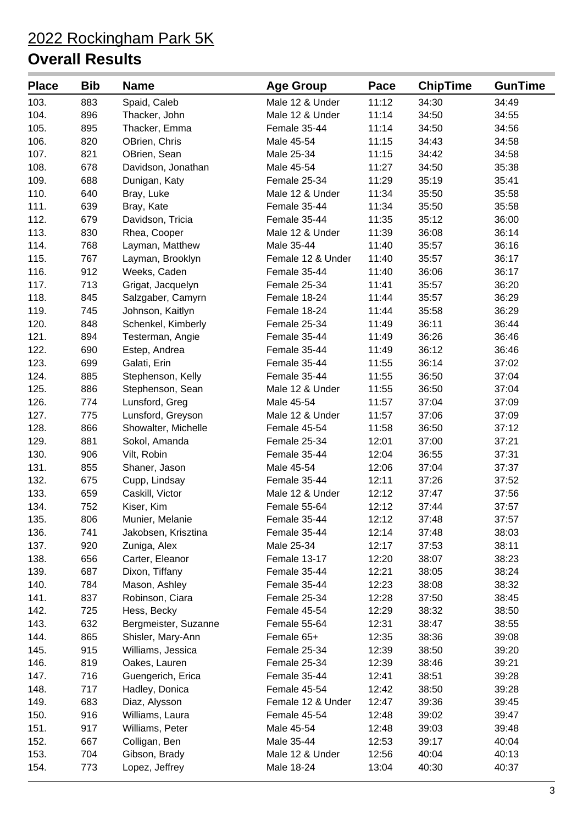| <b>Place</b> | <b>Bib</b> | <b>Name</b>          | <b>Age Group</b>  | Pace  | <b>ChipTime</b> | <b>GunTime</b> |
|--------------|------------|----------------------|-------------------|-------|-----------------|----------------|
| 103.         | 883        | Spaid, Caleb         | Male 12 & Under   | 11:12 | 34:30           | 34:49          |
| 104.         | 896        | Thacker, John        | Male 12 & Under   | 11:14 | 34:50           | 34:55          |
| 105.         | 895        | Thacker, Emma        | Female 35-44      | 11:14 | 34:50           | 34:56          |
| 106.         | 820        | OBrien, Chris        | Male 45-54        | 11:15 | 34:43           | 34:58          |
| 107.         | 821        | OBrien, Sean         | Male 25-34        | 11:15 | 34:42           | 34:58          |
| 108.         | 678        | Davidson, Jonathan   | Male 45-54        | 11:27 | 34:50           | 35:38          |
| 109.         | 688        | Dunigan, Katy        | Female 25-34      | 11:29 | 35:19           | 35:41          |
| 110.         | 640        | Bray, Luke           | Male 12 & Under   | 11:34 | 35:50           | 35:58          |
| 111.         | 639        | Bray, Kate           | Female 35-44      | 11:34 | 35:50           | 35:58          |
| 112.         | 679        | Davidson, Tricia     | Female 35-44      | 11:35 | 35:12           | 36:00          |
| 113.         | 830        | Rhea, Cooper         | Male 12 & Under   | 11:39 | 36:08           | 36:14          |
| 114.         | 768        | Layman, Matthew      | Male 35-44        | 11:40 | 35:57           | 36:16          |
| 115.         | 767        | Layman, Brooklyn     | Female 12 & Under | 11:40 | 35:57           | 36:17          |
| 116.         | 912        | Weeks, Caden         | Female 35-44      | 11:40 | 36:06           | 36:17          |
| 117.         | 713        | Grigat, Jacquelyn    | Female 25-34      | 11:41 | 35:57           | 36:20          |
| 118.         | 845        | Salzgaber, Camyrn    | Female 18-24      | 11:44 | 35:57           | 36:29          |
| 119.         | 745        | Johnson, Kaitlyn     | Female 18-24      | 11:44 | 35:58           | 36:29          |
| 120.         | 848        | Schenkel, Kimberly   | Female 25-34      | 11:49 | 36:11           | 36:44          |
| 121.         | 894        | Testerman, Angie     | Female 35-44      | 11:49 | 36:26           | 36:46          |
| 122.         | 690        | Estep, Andrea        | Female 35-44      | 11:49 | 36:12           | 36:46          |
| 123.         | 699        | Galati, Erin         | Female 35-44      | 11:55 | 36:14           | 37:02          |
| 124.         | 885        | Stephenson, Kelly    | Female 35-44      | 11:55 | 36:50           | 37:04          |
| 125.         | 886        | Stephenson, Sean     | Male 12 & Under   | 11:55 | 36:50           | 37:04          |
| 126.         | 774        | Lunsford, Greg       | Male 45-54        | 11:57 | 37:04           | 37:09          |
| 127.         | 775        | Lunsford, Greyson    | Male 12 & Under   | 11:57 | 37:06           | 37:09          |
| 128.         | 866        | Showalter, Michelle  | Female 45-54      | 11:58 | 36:50           | 37:12          |
| 129.         | 881        | Sokol, Amanda        | Female 25-34      | 12:01 | 37:00           | 37:21          |
| 130.         | 906        | Vilt, Robin          | Female 35-44      | 12:04 | 36:55           | 37:31          |
| 131.         | 855        | Shaner, Jason        | Male 45-54        | 12:06 | 37:04           | 37:37          |
| 132.         | 675        | Cupp, Lindsay        | Female 35-44      | 12:11 | 37:26           | 37:52          |
| 133.         | 659        | Caskill, Victor      | Male 12 & Under   | 12:12 | 37:47           | 37:56          |
| 134.         | 752        | Kiser, Kim           | Female 55-64      | 12:12 | 37:44           | 37:57          |
| 135.         | 806        | Munier, Melanie      | Female 35-44      | 12:12 | 37:48           | 37:57          |
| 136.         | 741        | Jakobsen, Krisztina  | Female 35-44      | 12:14 | 37:48           | 38:03          |
| 137.         | 920        | Zuniga, Alex         | Male 25-34        | 12:17 | 37:53           | 38:11          |
| 138.         | 656        | Carter, Eleanor      | Female 13-17      | 12:20 | 38:07           | 38:23          |
| 139.         | 687        | Dixon, Tiffany       | Female 35-44      | 12:21 | 38:05           | 38:24          |
| 140.         | 784        | Mason, Ashley        | Female 35-44      | 12:23 | 38:08           | 38:32          |
| 141.         | 837        | Robinson, Ciara      | Female 25-34      | 12:28 | 37:50           | 38:45          |
| 142.         | 725        | Hess, Becky          | Female 45-54      | 12:29 | 38:32           | 38:50          |
| 143.         | 632        | Bergmeister, Suzanne | Female 55-64      | 12:31 | 38:47           | 38:55          |
| 144.         | 865        | Shisler, Mary-Ann    | Female 65+        | 12:35 | 38:36           | 39:08          |
| 145.         | 915        | Williams, Jessica    | Female 25-34      | 12:39 | 38:50           | 39:20          |
| 146.         | 819        | Oakes, Lauren        | Female 25-34      | 12:39 | 38:46           | 39:21          |
| 147.         | 716        | Guengerich, Erica    | Female 35-44      | 12:41 | 38:51           | 39:28          |
| 148.         | 717        | Hadley, Donica       | Female 45-54      | 12:42 | 38:50           | 39:28          |
| 149.         | 683        | Diaz, Alysson        | Female 12 & Under | 12:47 | 39:36           | 39:45          |
| 150.         | 916        | Williams, Laura      | Female 45-54      | 12:48 | 39:02           | 39:47          |
| 151.         | 917        | Williams, Peter      | Male 45-54        | 12:48 | 39:03           | 39:48          |
| 152.         | 667        | Colligan, Ben        | Male 35-44        | 12:53 | 39:17           | 40:04          |
| 153.         | 704        | Gibson, Brady        | Male 12 & Under   | 12:56 | 40:04           | 40:13          |
| 154.         | 773        | Lopez, Jeffrey       | Male 18-24        | 13:04 | 40:30           | 40:37          |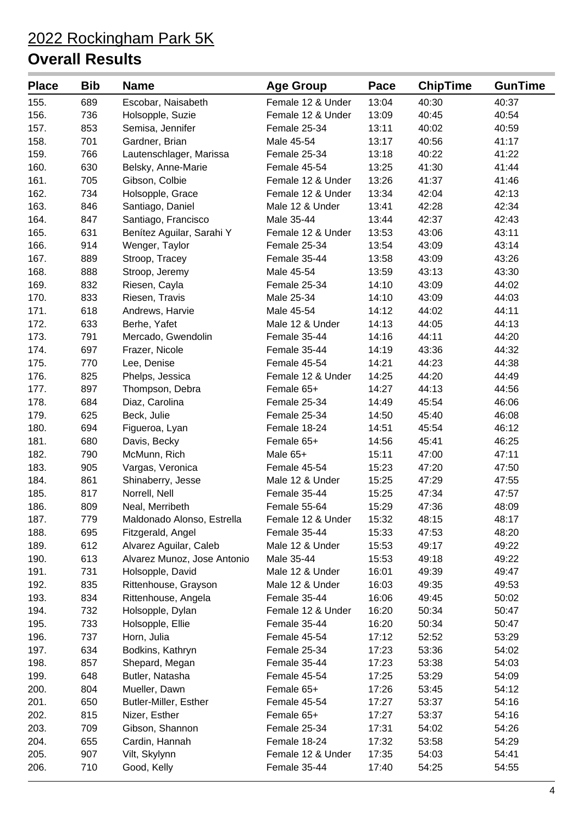| <b>Place</b> | <b>Bib</b> | <b>Name</b>                 | <b>Age Group</b>  | Pace  | <b>ChipTime</b> | <b>GunTime</b> |
|--------------|------------|-----------------------------|-------------------|-------|-----------------|----------------|
| 155.         | 689        | Escobar, Naisabeth          | Female 12 & Under | 13:04 | 40:30           | 40:37          |
| 156.         | 736        | Holsopple, Suzie            | Female 12 & Under | 13:09 | 40:45           | 40:54          |
| 157.         | 853        | Semisa, Jennifer            | Female 25-34      | 13:11 | 40:02           | 40:59          |
| 158.         | 701        | Gardner, Brian              | Male 45-54        | 13:17 | 40:56           | 41:17          |
| 159.         | 766        | Lautenschlager, Marissa     | Female 25-34      | 13:18 | 40:22           | 41:22          |
| 160.         | 630        | Belsky, Anne-Marie          | Female 45-54      | 13:25 | 41:30           | 41:44          |
| 161.         | 705        | Gibson, Colbie              | Female 12 & Under | 13:26 | 41:37           | 41:46          |
| 162.         | 734        | Holsopple, Grace            | Female 12 & Under | 13:34 | 42:04           | 42:13          |
| 163.         | 846        | Santiago, Daniel            | Male 12 & Under   | 13:41 | 42:28           | 42:34          |
| 164.         | 847        | Santiago, Francisco         | Male 35-44        | 13:44 | 42:37           | 42:43          |
| 165.         | 631        | Benítez Aguilar, Sarahi Y   | Female 12 & Under | 13:53 | 43:06           | 43:11          |
| 166.         | 914        | Wenger, Taylor              | Female 25-34      | 13:54 | 43:09           | 43:14          |
| 167.         | 889        | Stroop, Tracey              | Female 35-44      | 13:58 | 43:09           | 43:26          |
| 168.         | 888        | Stroop, Jeremy              | Male 45-54        | 13:59 | 43:13           | 43:30          |
| 169.         | 832        | Riesen, Cayla               | Female 25-34      | 14:10 | 43:09           | 44:02          |
| 170.         | 833        | Riesen, Travis              | Male 25-34        | 14:10 | 43:09           | 44:03          |
| 171.         | 618        | Andrews, Harvie             | Male 45-54        | 14:12 | 44:02           | 44:11          |
| 172.         | 633        | Berhe, Yafet                | Male 12 & Under   | 14:13 | 44:05           | 44:13          |
| 173.         | 791        | Mercado, Gwendolin          | Female 35-44      | 14:16 | 44:11           | 44:20          |
| 174.         | 697        | Frazer, Nicole              | Female 35-44      | 14:19 | 43:36           | 44:32          |
| 175.         | 770        | Lee, Denise                 | Female 45-54      | 14:21 | 44:23           | 44:38          |
| 176.         | 825        | Phelps, Jessica             | Female 12 & Under | 14:25 | 44:20           | 44:49          |
| 177.         | 897        | Thompson, Debra             | Female 65+        | 14:27 | 44:13           | 44:56          |
| 178.         | 684        | Diaz, Carolina              | Female 25-34      | 14:49 | 45:54           | 46:06          |
| 179.         | 625        | Beck, Julie                 | Female 25-34      | 14:50 | 45:40           | 46:08          |
| 180.         | 694        | Figueroa, Lyan              | Female 18-24      | 14:51 | 45:54           | 46:12          |
| 181.         | 680        | Davis, Becky                | Female 65+        | 14:56 | 45:41           | 46:25          |
| 182.         | 790        | McMunn, Rich                | Male 65+          | 15:11 | 47:00           | 47:11          |
| 183.         | 905        | Vargas, Veronica            | Female 45-54      | 15:23 | 47:20           | 47:50          |
| 184.         | 861        | Shinaberry, Jesse           | Male 12 & Under   | 15:25 | 47:29           | 47:55          |
| 185.         | 817        | Norrell, Nell               | Female 35-44      | 15:25 | 47:34           | 47:57          |
| 186.         | 809        | Neal, Merribeth             | Female 55-64      | 15:29 | 47:36           | 48:09          |
| 187.         | 779        | Maldonado Alonso, Estrella  | Female 12 & Under | 15:32 | 48:15           | 48:17          |
| 188.         | 695        | Fitzgerald, Angel           | Female 35-44      | 15:33 | 47:53           | 48:20          |
| 189.         | 612        | Alvarez Aguilar, Caleb      | Male 12 & Under   | 15:53 | 49:17           | 49:22          |
| 190.         | 613        | Alvarez Munoz, Jose Antonio | Male 35-44        | 15:53 | 49:18           | 49:22          |
| 191.         | 731        | Holsopple, David            | Male 12 & Under   | 16:01 | 49:39           | 49:47          |
| 192.         | 835        | Rittenhouse, Grayson        | Male 12 & Under   | 16:03 | 49:35           | 49:53          |
| 193.         | 834        | Rittenhouse, Angela         | Female 35-44      | 16:06 | 49:45           | 50:02          |
| 194.         | 732        | Holsopple, Dylan            | Female 12 & Under | 16:20 | 50:34           | 50:47          |
| 195.         | 733        | Holsopple, Ellie            | Female 35-44      | 16:20 | 50:34           | 50:47          |
| 196.         | 737        | Horn, Julia                 | Female 45-54      | 17:12 | 52:52           | 53:29          |
| 197.         | 634        | Bodkins, Kathryn            | Female 25-34      | 17:23 | 53:36           | 54:02          |
| 198.         | 857        | Shepard, Megan              | Female 35-44      | 17:23 | 53:38           | 54:03          |
| 199.         | 648        | Butler, Natasha             | Female 45-54      | 17:25 | 53:29           | 54:09          |
| 200.         | 804        | Mueller, Dawn               | Female 65+        | 17:26 | 53:45           | 54:12          |
| 201.         | 650        | Butler-Miller, Esther       | Female 45-54      | 17:27 | 53:37           | 54:16          |
| 202.         | 815        | Nizer, Esther               | Female 65+        | 17:27 | 53:37           | 54:16          |
| 203.         | 709        | Gibson, Shannon             | Female 25-34      | 17:31 | 54:02           | 54:26          |
| 204.         | 655        | Cardin, Hannah              | Female 18-24      | 17:32 | 53:58           | 54:29          |
| 205.         | 907        | Vilt, Skylynn               | Female 12 & Under | 17:35 | 54:03           | 54:41          |
| 206.         | 710        | Good, Kelly                 | Female 35-44      | 17:40 | 54:25           | 54:55          |